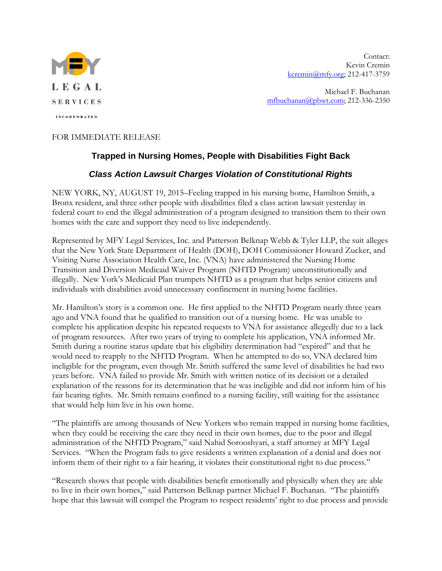

Contact: Kevin Cremin [kcremin@mfy.org;](mailto:kcremin@mfy.org) 212-417-3759

Michael F. Buchanan [mfbuchanan@pbwt.com;](mailto:mfbuchanan@pbwt.com) 212-336-2350

## FOR IMMEDIATE RELEASE

## **Trapped in Nursing Homes, People with Disabilities Fight Back**

## *Class Action Lawsuit Charges Violation of Constitutional Rights*

NEW YORK, NY, AUGUST 19, 2015–Feeling trapped in his nursing home, Hamilton Smith, a Bronx resident, and three other people with disabilities filed a class action lawsuit yesterday in federal court to end the illegal administration of a program designed to transition them to their own homes with the care and support they need to live independently.

Represented by MFY Legal Services, Inc. and Patterson Belknap Webb & Tyler LLP, the suit alleges that the New York State Department of Health (DOH), DOH Commissioner Howard Zucker, and Visiting Nurse Association Health Care, Inc. (VNA) have administered the Nursing Home Transition and Diversion Medicaid Waiver Program (NHTD Program) unconstitutionally and illegally. New York's Medicaid Plan trumpets NHTD as a program that helps senior citizens and individuals with disabilities avoid unnecessary confinement in nursing home facilities.

Mr. Hamilton's story is a common one. He first applied to the NHTD Program nearly three years ago and VNA found that he qualified to transition out of a nursing home. He was unable to complete his application despite his repeated requests to VNA for assistance allegedly due to a lack of program resources. After two years of trying to complete his application, VNA informed Mr. Smith during a routine status update that his eligibility determination had "expired" and that he would need to reapply to the NHTD Program. When he attempted to do so, VNA declared him ineligible for the program, even though Mr. Smith suffered the same level of disabilities he had two years before. VNA failed to provide Mr. Smith with written notice of its decision or a detailed explanation of the reasons for its determination that he was ineligible and did not inform him of his fair hearing rights. Mr. Smith remains confined to a nursing facility, still waiting for the assistance that would help him live in his own home.

"The plaintiffs are among thousands of New Yorkers who remain trapped in nursing home facilities, when they could be receiving the care they need in their own homes, due to the poor and illegal administration of the NHTD Program," said Nahid Sorooshyari, a staff attorney at MFY Legal Services. "When the Program fails to give residents a written explanation of a denial and does not inform them of their right to a fair hearing, it violates their constitutional right to due process."

"Research shows that people with disabilities benefit emotionally and physically when they are able to live in their own homes," said Patterson Belknap partner Michael F. Buchanan. "The plaintiffs hope that this lawsuit will compel the Program to respect residents' right to due process and provide